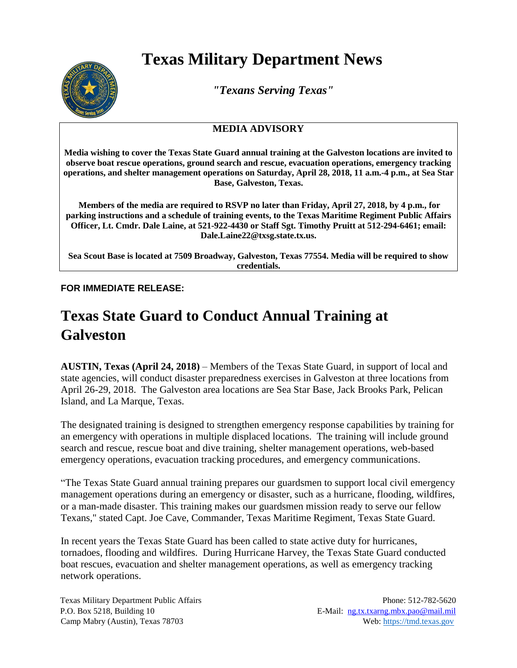## **Texas Military Department News**



*"Texans Serving Texas"*

## **MEDIA ADVISORY**

**Media wishing to cover the Texas State Guard annual training at the Galveston locations are invited to observe boat rescue operations, ground search and rescue, evacuation operations, emergency tracking operations, and shelter management operations on Saturday, April 28, 2018, 11 a.m.-4 p.m., at Sea Star Base, Galveston, Texas.** 

**Members of the media are required to RSVP no later than Friday, April 27, 2018, by 4 p.m., for parking instructions and a schedule of training events, to the Texas Maritime Regiment Public Affairs Officer, Lt. Cmdr. Dale Laine, at 521-922-4430 or Staff Sgt. Timothy Pruitt at 512-294-6461; email: Dale.Laine22@txsg.state.tx.us.**

**Sea Scout Base is located at 7509 Broadway, Galveston, Texas 77554. Media will be required to show credentials.**

**FOR IMMEDIATE RELEASE:** 

## **Texas State Guard to Conduct Annual Training at Galveston**

**AUSTIN, Texas (April 24, 2018)** – Members of the Texas State Guard, in support of local and state agencies, will conduct disaster preparedness exercises in Galveston at three locations from April 26-29, 2018. The Galveston area locations are Sea Star Base, Jack Brooks Park, Pelican Island, and La Marque, Texas.

The designated training is designed to strengthen emergency response capabilities by training for an emergency with operations in multiple displaced locations. The training will include ground search and rescue, rescue boat and dive training, shelter management operations, web-based emergency operations, evacuation tracking procedures, and emergency communications.

"The Texas State Guard annual training prepares our guardsmen to support local civil emergency management operations during an emergency or disaster, such as a hurricane, flooding, wildfires, or a man-made disaster. This training makes our guardsmen mission ready to serve our fellow Texans," stated Capt. Joe Cave, Commander, Texas Maritime Regiment, Texas State Guard.

In recent years the Texas State Guard has been called to state active duty for hurricanes, tornadoes, flooding and wildfires. During Hurricane Harvey, the Texas State Guard conducted boat rescues, evacuation and shelter management operations, as well as emergency tracking network operations.

Camp Mabry (Austin), Texas 78703 Web: [https://tmd.texas.gov](https://tmd.texas.gov/)

Texas Military Department Public Affairs Phone: 512-782-5620 P.O. Box 5218, Building 10 example 10 E-Mail: ng.tx.txarng.mbx.pao@mail.mil